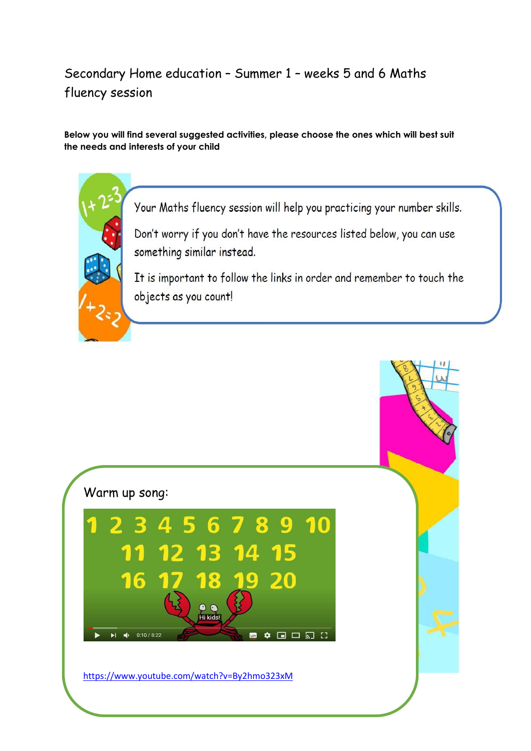#### Secondary Home education – Summer 1 – weeks 5 and 6 Maths fluency session

#### **Below you will find several suggested activities, please choose the ones which will best suit the needs and interests of your child**

Your Maths fluency session will help you practicing your number skills.

Don't worry if you don't have the resources listed below, you can use something similar instead.

It is important to follow the links in order and remember to touch the objects as you count!

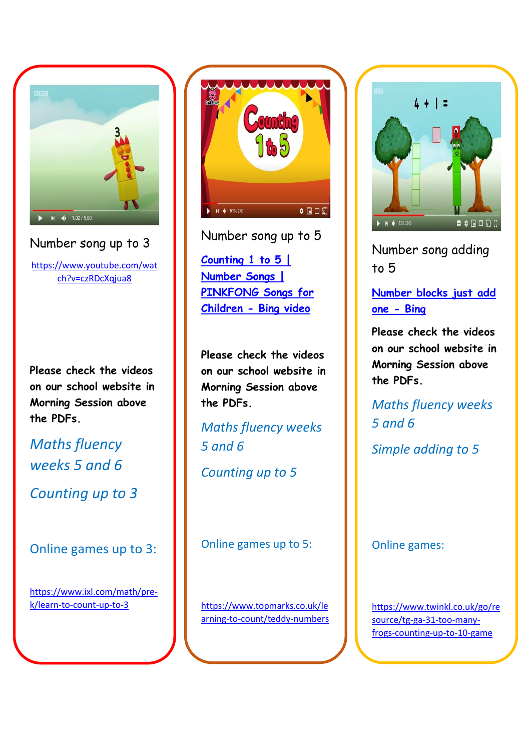

Number song up to 3

[https://www.youtube.com/wat](https://www.youtube.com/watch?v=czRDcXqjua8) [ch?v=czRDcXqjua8](https://www.youtube.com/watch?v=czRDcXqjua8)

**Please check the videos on our school website in Morning Session above the PDFs.** 

*Maths fluency weeks 5 and 6*

*Counting up to 3*

Online games up to 3:

[https://www.ixl.com/math/pre](https://www.ixl.com/math/pre-k/learn-to-count-up-to-3)[k/learn-to-count-up-to-3](https://www.ixl.com/math/pre-k/learn-to-count-up-to-3)



Number song up to 5 **[Counting 1 to 5 |](https://www.bing.com/videos/search?q=count+up+to+5&docid=608048823461151097&mid=0932C31C9300A280B0DE0932C31C9300A280B0DE&view=detail&FORM=VIRE)  [Number Songs |](https://www.bing.com/videos/search?q=count+up+to+5&docid=608048823461151097&mid=0932C31C9300A280B0DE0932C31C9300A280B0DE&view=detail&FORM=VIRE)  [PINKFONG Songs for](https://www.bing.com/videos/search?q=count+up+to+5&docid=608048823461151097&mid=0932C31C9300A280B0DE0932C31C9300A280B0DE&view=detail&FORM=VIRE)  [Children -](https://www.bing.com/videos/search?q=count+up+to+5&docid=608048823461151097&mid=0932C31C9300A280B0DE0932C31C9300A280B0DE&view=detail&FORM=VIRE) Bing video**

**Please check the videos on our school website in Morning Session above the PDFs.** 

*Maths fluency weeks 5 and 6*

*Counting up to 5*

Online games up to 5:

[https://www.topmarks.co.uk/le](https://www.topmarks.co.uk/learning-to-count/teddy-numbers) [arning-to-count/teddy-numbers](https://www.topmarks.co.uk/learning-to-count/teddy-numbers)



Number song adding to 5

**[Number blocks just add](https://www.bing.com/search?q=number+blocks+just+add+one&form=PRGBEN&httpsmsn=1&msnews=1&refig=455393b2c7c9441184f94acb13cef24a&sp=-1&pq=number+blocks+just+ad&sc=5-21&qs=n&sk=&cvid=455393b2c7c9441184f94acb13cef24a)  [one -](https://www.bing.com/search?q=number+blocks+just+add+one&form=PRGBEN&httpsmsn=1&msnews=1&refig=455393b2c7c9441184f94acb13cef24a&sp=-1&pq=number+blocks+just+ad&sc=5-21&qs=n&sk=&cvid=455393b2c7c9441184f94acb13cef24a) Bing**

**Please check the videos on our school website in Morning Session above the PDFs.** 

*Maths fluency weeks 5 and 6*

*Simple adding to 5*

Online games:

[https://www.twinkl.co.uk/go/re](https://www.twinkl.co.uk/go/resource/tg-ga-31-too-many-frogs-counting-up-to-10-game) [source/tg-ga-31-too-many](https://www.twinkl.co.uk/go/resource/tg-ga-31-too-many-frogs-counting-up-to-10-game)[frogs-counting-up-to-10-game](https://www.twinkl.co.uk/go/resource/tg-ga-31-too-many-frogs-counting-up-to-10-game)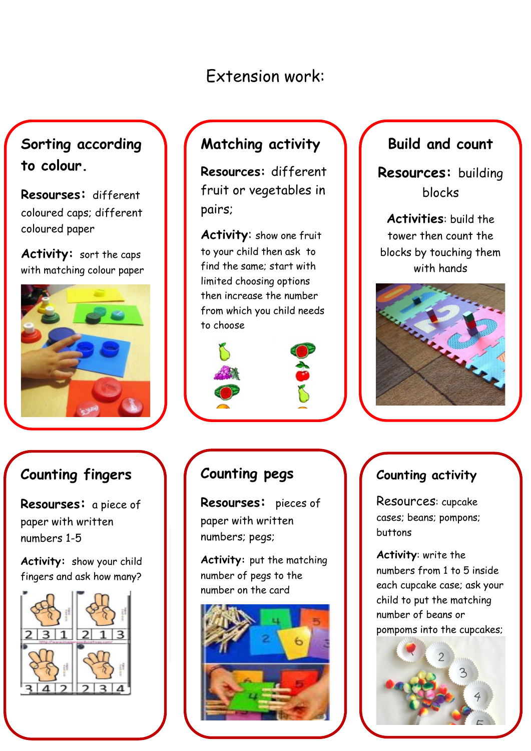# Extension work:

# **Sorting according to colour.**

**Resourses:** different coloured caps; different coloured paper

**Activity:** sort the caps with matching colour paper



### **Counting fingers**

 **Resourses:** a piece of paper with written numbers 1-5

**Activity:** show your child fingers and ask how many?



# **Matching activity**

**Resources:** different fruit or vegetables in pairs;

**Activity**: show one fruit to your child then ask to find the same; start with limited choosing options then increase the number from which you child needs to choose





### **Counting pegs**

**Resourses:** pieces of paper with written numbers; pegs;

**Activity:** put the matching number of pegs to the number on the card



#### **Build and count**

**Resources:** building blocks

**Activities**: build the tower then count the blocks by touching them with hands



#### **Counting activity**

Resources: cupcake cases; beans; pompons; buttons

**Activity**: write the numbers from 1 to 5 inside each cupcake case; ask your child to put the matching number of beans or pompoms into the cupcakes;

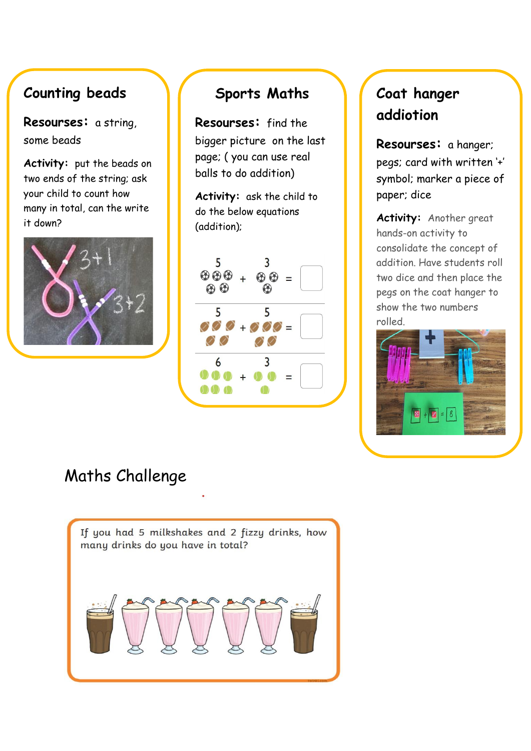### **Counting beads**

 **Resourses:** a string, some beads

**Activity:** put the beads on two ends of the string; ask your child to count how many in total, can the write it down?



#### **Sports Maths**

**Resourses:** find the bigger picture on the last page; ( you can use real balls to do addition)

**Activity:** ask the child to do the below equations (addition);



# **Coat hanger addiotion**

**Resourses:** a hanger; pegs; card with written '+' symbol; marker a piece of paper; dice

**Activity:** Another great hands-on activity to consolidate the concept of addition. Have students roll two dice and then place the pegs on the coat hanger to show the two numbers rolled.



# Maths Challenge

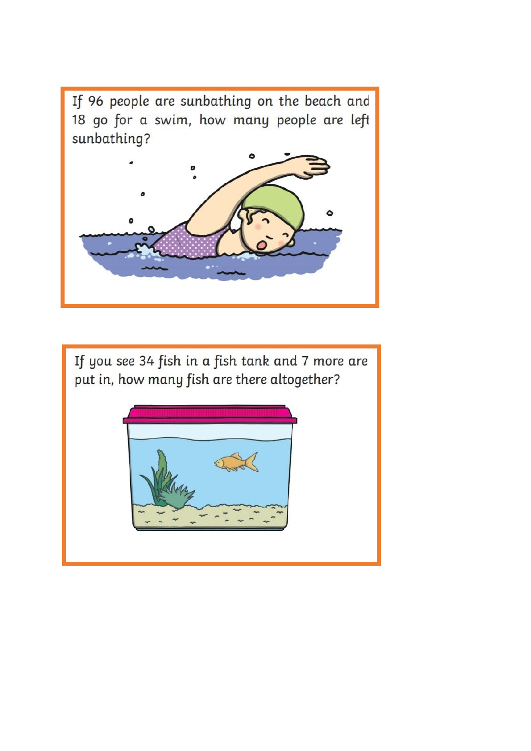If 96 people are sunbathing on the beach and 18 go for a swim, how many people are left sunbathing?



If you see 34 fish in a fish tank and 7 more are put in, how many fish are there altogether?